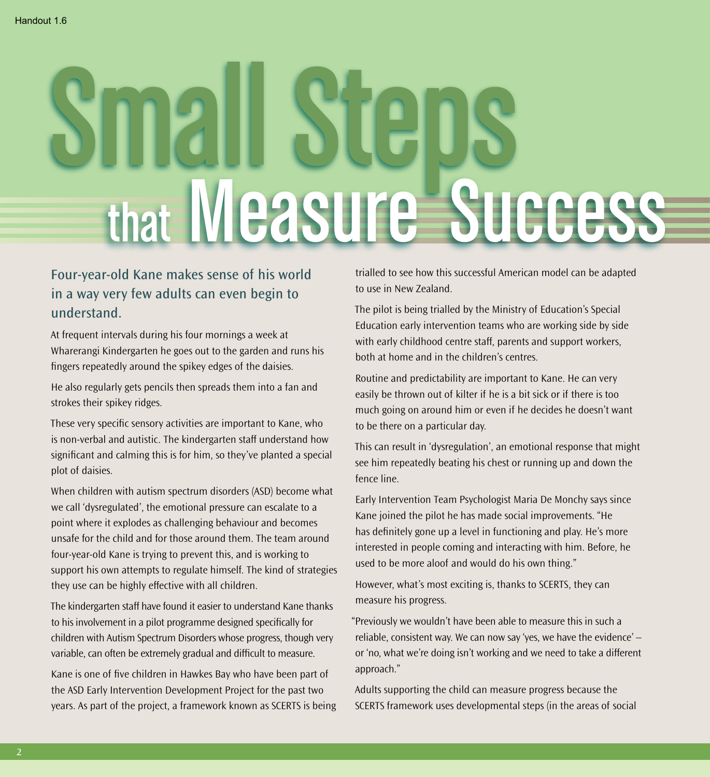## Small Steps that Measure Success

## Four-year-old Kane makes sense of his world in a way very few adults can even begin to understand.

At frequent intervals during his four mornings a week at Wharerangi Kindergarten he goes out to the garden and runs his fingers repeatedly around the spikey edges of the daisies.

He also regularly gets pencils then spreads them into a fan and strokes their spikey ridges.

These very specific sensory activities are important to Kane, who is non-verbal and autistic. The kindergarten staff understand how significant and calming this is for him, so they've planted a special plot of daisies.

When children with autism spectrum disorders (ASD) become what we call 'dysregulated', the emotional pressure can escalate to a point where it explodes as challenging behaviour and becomes unsafe for the child and for those around them. The team around four-year-old Kane is trying to prevent this, and is working to support his own attempts to regulate himself. The kind of strategies they use can be highly effective with all children.

The kindergarten staff have found it easier to understand Kane thanks to his involvement in a pilot programme designed specifically for children with Autism Spectrum Disorders whose progress, though very variable, can often be extremely gradual and difficult to measure.

Kane is one of five children in Hawkes Bay who have been part of the ASD Early Intervention Development Project for the past two years. As part of the project, a framework known as SCERTS is being trialled to see how this successful American model can be adapted to use in New Zealand.

The pilot is being trialled by the Ministry of Education's Special Education early intervention teams who are working side by side with early childhood centre staff, parents and support workers, both at home and in the children's centres.

Routine and predictability are important to Kane. He can very easily be thrown out of kilter if he is a bit sick or if there is too much going on around him or even if he decides he doesn't want to be there on a particular day.

This can result in 'dysregulation', an emotional response that might see him repeatedly beating his chest or running up and down the fence line.

Early Intervention Team Psychologist Maria De Monchy says since Kane joined the pilot he has made social improvements. "He has definitely gone up a level in functioning and play. He's more interested in people coming and interacting with him. Before, he used to be more aloof and would do his own thing."

However, what's most exciting is, thanks to SCERTS, they can measure his progress.

"Previously we wouldn't have been able to measure this in such a reliable, consistent way. We can now say 'yes, we have the evidence' – or 'no, what we're doing isn't working and we need to take a different approach."

Adults supporting the child can measure progress because the SCERTS framework uses developmental steps (in the areas of social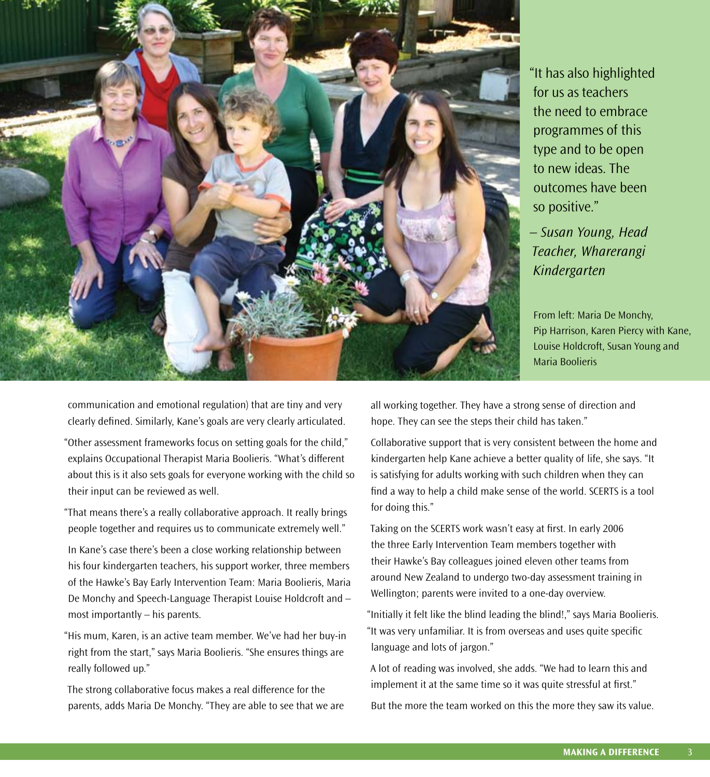

"It has also highlighted for us as teachers the need to embrace programmes of this type and to be open to new ideas. The outcomes have been so positive."

*– Susan Young, Head Teacher, Wharerangi Kindergarten*

From left: Maria De Monchy, Pip Harrison, Karen Piercy with Kane, Louise Holdcroft, Susan Young and Maria Boolieris

communication and emotional regulation) that are tiny and very clearly defined. Similarly, Kane's goals are very clearly articulated.

"Other assessment frameworks focus on setting goals for the child," explains Occupational Therapist Maria Boolieris. "What's different about this is it also sets goals for everyone working with the child so their input can be reviewed as well.

"That means there's a really collaborative approach. It really brings people together and requires us to communicate extremely well."

In Kane's case there's been a close working relationship between his four kindergarten teachers, his support worker, three members of the Hawke's Bay Early Intervention Team: Maria Boolieris, Maria De Monchy and Speech-Language Therapist Louise Holdcroft and – most importantly – his parents.

"His mum, Karen, is an active team member. We've had her buy-in right from the start," says Maria Boolieris. "She ensures things are really followed up."

The strong collaborative focus makes a real difference for the parents, adds Maria De Monchy. "They are able to see that we are all working together. They have a strong sense of direction and hope. They can see the steps their child has taken."

Collaborative support that is very consistent between the home and kindergarten help Kane achieve a better quality of life, she says. "It is satisfying for adults working with such children when they can find a way to help a child make sense of the world. SCERTS is a tool for doing this."

Taking on the SCERTS work wasn't easy at first. In early 2006 the three Early Intervention Team members together with their Hawke's Bay colleagues joined eleven other teams from around New Zealand to undergo two-day assessment training in Wellington; parents were invited to a one-day overview.

"Initially it felt like the blind leading the blind!," says Maria Boolieris. "It was very unfamiliar. It is from overseas and uses quite specific language and lots of jargon."

A lot of reading was involved, she adds. "We had to learn this and implement it at the same time so it was quite stressful at first."

But the more the team worked on this the more they saw its value.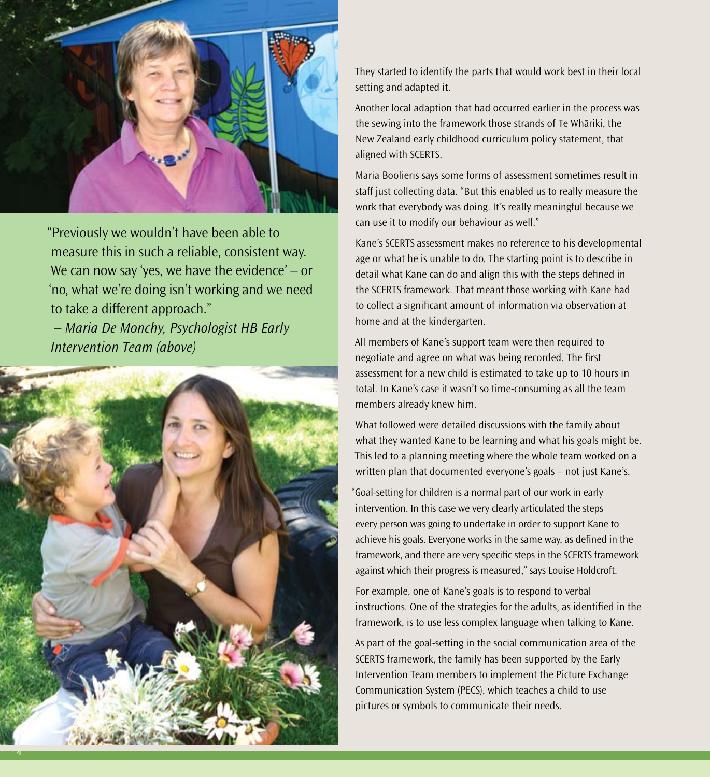

"Previously we wouldn't have been able to measure this in such a reliable, consistent way. We can now say 'yes, we have the evidence' – or 'no, what we're doing isn't working and we need to take a different approach."

 *– Maria De Monchy, Psychologist HB Early Intervention Team (above)*



They started to identify the parts that would work best in their local setting and adapted it.

Another local adaption that had occurred earlier in the process was the sewing into the framework those strands of Te Whāriki, the New Zealand early childhood curriculum policy statement, that aligned with SCERTS.

Maria Boolieris says some forms of assessment sometimes result in staff just collecting data. "But this enabled us to really measure the work that everybody was doing. It's really meaningful because we can use it to modify our behaviour as well."

Kane's SCERTS assessment makes no reference to his developmental age or what he is unable to do. The starting point is to describe in detail what Kane can do and align this with the steps defined in the SCERTS framework. That meant those working with Kane had to collect a significant amount of information via observation at home and at the kindergarten.

All members of Kane's support team were then required to negotiate and agree on what was being recorded. The first assessment for a new child is estimated to take up to 10 hours in total. In Kane's case it wasn't so time-consuming as all the team members already knew him.

What followed were detailed discussions with the family about what they wanted Kane to be learning and what his goals might be. This led to a planning meeting where the whole team worked on a written plan that documented everyone's goals – not just Kane's.

"Goal-setting for children is a normal part of our work in early intervention. In this case we very clearly articulated the steps every person was going to undertake in order to support Kane to achieve his goals. Everyone works in the same way, as defined in the framework, and there are very specific steps in the SCERTS framework against which their progress is measured," says Louise Holdcroft.

For example, one of Kane's goals is to respond to verbal instructions. One of the strategies for the adults, as identified in the framework, is to use less complex language when talking to Kane.

As part of the goal-setting in the social communication area of the SCERTS framework, the family has been supported by the Early Intervention Team members to implement the Picture Exchange Communication System (PECS), which teaches a child to use pictures or symbols to communicate their needs.